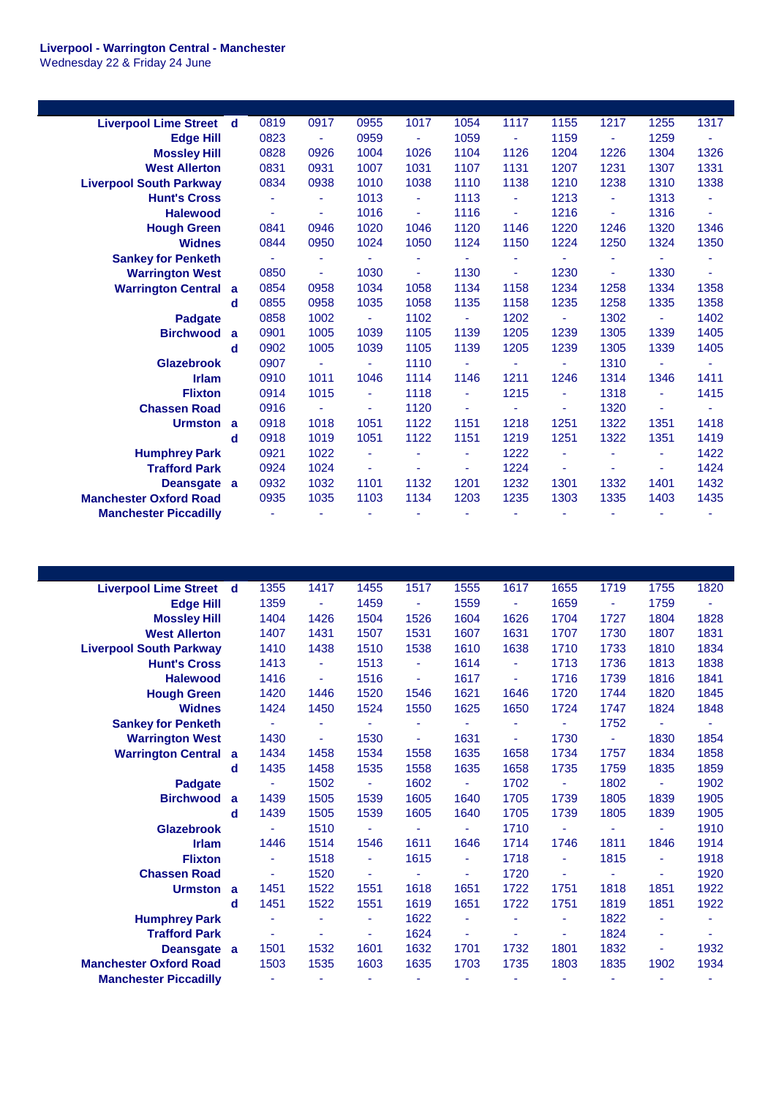## **Liverpool - Warrington Central - Manchester**

Wednesday 22 & Friday 24 June

| <b>Liverpool Lime Street</b>   | d            | 0819           | 0917           | 0955           | 1017           | 1054           | 1117           | 1155           | 1217           | 1255           | 1317 |
|--------------------------------|--------------|----------------|----------------|----------------|----------------|----------------|----------------|----------------|----------------|----------------|------|
| <b>Edge Hill</b>               |              | 0823           | $\blacksquare$ | 0959           | ÷.             | 1059           | $\blacksquare$ | 1159           | $\blacksquare$ | 1259           |      |
| <b>Mossley Hill</b>            |              | 0828           | 0926           | 1004           | 1026           | 1104           | 1126           | 1204           | 1226           | 1304           | 1326 |
| <b>West Allerton</b>           |              | 0831           | 0931           | 1007           | 1031           | 1107           | 1131           | 1207           | 1231           | 1307           | 1331 |
| <b>Liverpool South Parkway</b> |              | 0834           | 0938           | 1010           | 1038           | 1110           | 1138           | 1210           | 1238           | 1310           | 1338 |
| <b>Hunt's Cross</b>            |              | $\blacksquare$ | ٠              | 1013           | Ξ              | 1113           | Ξ              | 1213           | $\blacksquare$ | 1313           | ٠    |
| <b>Halewood</b>                |              | $\blacksquare$ | ä,             | 1016           | $\blacksquare$ | 1116           | ÷              | 1216           | Ξ              | 1316           |      |
| <b>Hough Green</b>             |              | 0841           | 0946           | 1020           | 1046           | 1120           | 1146           | 1220           | 1246           | 1320           | 1346 |
| <b>Widnes</b>                  |              | 0844           | 0950           | 1024           | 1050           | 1124           | 1150           | 1224           | 1250           | 1324           | 1350 |
| <b>Sankey for Penketh</b>      |              |                | ٠              |                | ÷              |                | ٠              |                | ٠              |                |      |
| <b>Warrington West</b>         |              | 0850           | ٠              | 1030           | ä,             | 1130           | $\blacksquare$ | 1230           | Ξ              | 1330           | ÷    |
| <b>Warrington Central</b>      | $\mathbf{a}$ | 0854           | 0958           | 1034           | 1058           | 1134           | 1158           | 1234           | 1258           | 1334           | 1358 |
|                                | d            | 0855           | 0958           | 1035           | 1058           | 1135           | 1158           | 1235           | 1258           | 1335           | 1358 |
| <b>Padgate</b>                 |              | 0858           | 1002           | $\sim$         | 1102           | $\blacksquare$ | 1202           | $\blacksquare$ | 1302           | $\blacksquare$ | 1402 |
| <b>Birchwood</b>               | $\mathbf{a}$ | 0901           | 1005           | 1039           | 1105           | 1139           | 1205           | 1239           | 1305           | 1339           | 1405 |
|                                | d            | 0902           | 1005           | 1039           | 1105           | 1139           | 1205           | 1239           | 1305           | 1339           | 1405 |
| <b>Glazebrook</b>              |              | 0907           | $\blacksquare$ | $\omega$       | 1110           | ÷              | $\blacksquare$ | ٠              | 1310           | $\blacksquare$ | ٠    |
| <b>Irlam</b>                   |              | 0910           | 1011           | 1046           | 1114           | 1146           | 1211           | 1246           | 1314           | 1346           | 1411 |
| <b>Flixton</b>                 |              | 0914           | 1015           |                | 1118           | $\mathbf{r}$   | 1215           | ۰              | 1318           | ä,             | 1415 |
| <b>Chassen Road</b>            |              | 0916           | $\blacksquare$ | ٠              | 1120           | ٠              | $\blacksquare$ | ä,             | 1320           | ٠              | ٠    |
| <b>Urmston</b>                 | a            | 0918           | 1018           | 1051           | 1122           | 1151           | 1218           | 1251           | 1322           | 1351           | 1418 |
|                                | d            | 0918           | 1019           | 1051           | 1122           | 1151           | 1219           | 1251           | 1322           | 1351           | 1419 |
| <b>Humphrey Park</b>           |              | 0921           | 1022           |                | ÷              | ٠              | 1222           | ٠              | ÷              | ä,             | 1422 |
| <b>Trafford Park</b>           |              | 0924           | 1024           | $\blacksquare$ | $\blacksquare$ | ٠              | 1224           | ÷              | ٠              | $\blacksquare$ | 1424 |
| Deansgate a                    |              | 0932           | 1032           | 1101           | 1132           | 1201           | 1232           | 1301           | 1332           | 1401           | 1432 |
| <b>Manchester Oxford Road</b>  |              | 0935           | 1035           | 1103           | 1134           | 1203           | 1235           | 1303           | 1335           | 1403           | 1435 |
| <b>Manchester Piccadilly</b>   |              | $\blacksquare$ | $\blacksquare$ |                |                |                | $\blacksquare$ |                | $\blacksquare$ |                |      |
|                                |              |                |                |                |                |                |                |                |                |                |      |

| <b>Liverpool Lime Street d</b> |   | 1355           | 1417           | 1455                     | 1517           | 1555                     | 1617 | 1655           | 1719           | 1755 | 1820           |
|--------------------------------|---|----------------|----------------|--------------------------|----------------|--------------------------|------|----------------|----------------|------|----------------|
| <b>Edge Hill</b>               |   | 1359           | $\blacksquare$ | 1459                     | $\blacksquare$ | 1559                     | ÷    | 1659           | $\blacksquare$ | 1759 | $\blacksquare$ |
| <b>Mossley Hill</b>            |   | 1404           | 1426           | 1504                     | 1526           | 1604                     | 1626 | 1704           | 1727           | 1804 | 1828           |
| <b>West Allerton</b>           |   | 1407           | 1431           | 1507                     | 1531           | 1607                     | 1631 | 1707           | 1730           | 1807 | 1831           |
| <b>Liverpool South Parkway</b> |   | 1410           | 1438           | 1510                     | 1538           | 1610                     | 1638 | 1710           | 1733           | 1810 | 1834           |
| <b>Hunt's Cross</b>            |   | 1413           | ٠              | 1513                     | ÷              | 1614                     | ٠    | 1713           | 1736           | 1813 | 1838           |
| <b>Halewood</b>                |   | 1416           | ٠              | 1516                     | $\blacksquare$ | 1617                     | ٠    | 1716           | 1739           | 1816 | 1841           |
| <b>Hough Green</b>             |   | 1420           | 1446           | 1520                     | 1546           | 1621                     | 1646 | 1720           | 1744           | 1820 | 1845           |
| <b>Widnes</b>                  |   | 1424           | 1450           | 1524                     | 1550           | 1625                     | 1650 | 1724           | 1747           | 1824 | 1848           |
| <b>Sankey for Penketh</b>      |   |                | ٠              | ÷                        |                |                          |      |                | 1752           |      |                |
| <b>Warrington West</b>         |   | 1430           | ٠              | 1530                     | ۰              | 1631                     | Ξ    | 1730           | ÷,             | 1830 | 1854           |
| <b>Warrington Central a</b>    |   | 1434           | 1458           | 1534                     | 1558           | 1635                     | 1658 | 1734           | 1757           | 1834 | 1858           |
|                                | d | 1435           | 1458           | 1535                     | 1558           | 1635                     | 1658 | 1735           | 1759           | 1835 | 1859           |
| <b>Padgate</b>                 |   | $\blacksquare$ | 1502           | $\blacksquare$           | 1602           | Ξ                        | 1702 | ÷,             | 1802           | ä,   | 1902           |
| <b>Birchwood</b>               | a | 1439           | 1505           | 1539                     | 1605           | 1640                     | 1705 | 1739           | 1805           | 1839 | 1905           |
|                                | d | 1439           | 1505           | 1539                     | 1605           | 1640                     | 1705 | 1739           | 1805           | 1839 | 1905           |
| <b>Glazebrook</b>              |   | $\blacksquare$ | 1510           | $\overline{\phantom{a}}$ | ٠              | $\blacksquare$           | 1710 | $\blacksquare$ | ٠              | ٠    | 1910           |
| <b>Irlam</b>                   |   | 1446           | 1514           | 1546                     | 1611           | 1646                     | 1714 | 1746           | 1811           | 1846 | 1914           |
| <b>Flixton</b>                 |   | ٠              | 1518           | ÷,                       | 1615           | ä,                       | 1718 | ä,             | 1815           | ÷    | 1918           |
| <b>Chassen Road</b>            |   | ٠              | 1520           | ÷                        |                | $\overline{\phantom{a}}$ | 1720 | ٠              |                | ä,   | 1920           |
| Urmston a                      |   | 1451           | 1522           | 1551                     | 1618           | 1651                     | 1722 | 1751           | 1818           | 1851 | 1922           |
|                                | d | 1451           | 1522           | 1551                     | 1619           | 1651                     | 1722 | 1751           | 1819           | 1851 | 1922           |
| <b>Humphrey Park</b>           |   | ÷,             | ٠              | ۰                        | 1622           | ÷                        |      | ٠              | 1822           | ÷    |                |
| <b>Trafford Park</b>           |   | $\blacksquare$ | ٠              | ÷,                       | 1624           | ä,                       | ÷    | ä,             | 1824           | ÷    |                |
| Deansgate a                    |   | 1501           | 1532           | 1601                     | 1632           | 1701                     | 1732 | 1801           | 1832           | ٠    | 1932           |
| <b>Manchester Oxford Road</b>  |   | 1503           | 1535           | 1603                     | 1635           | 1703                     | 1735 | 1803           | 1835           | 1902 | 1934           |
| <b>Manchester Piccadilly</b>   |   | $\blacksquare$ | ٠              | ä,                       | ä,             | ä,                       | ٠    | ٠              | ٠              | ٠    |                |
|                                |   |                |                |                          |                |                          |      |                |                |      |                |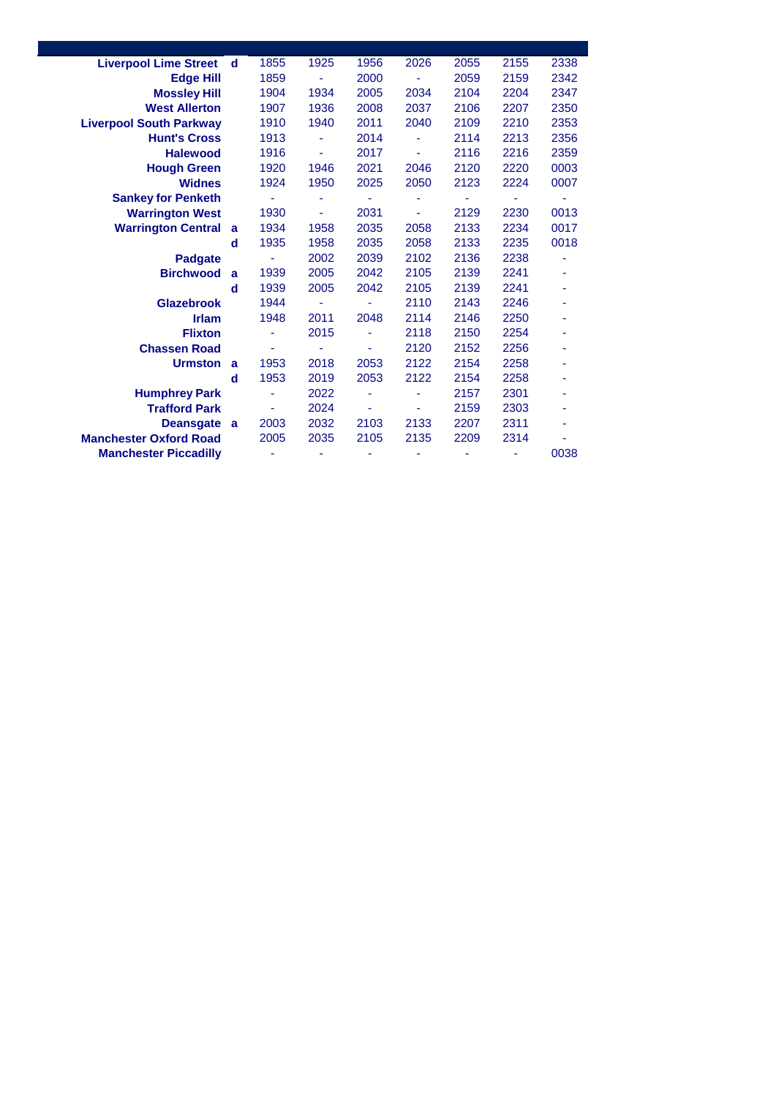| <b>Liverpool Lime Street</b>   | d | 1855 | 1925 | 1956 | 2026           | 2055 | 2155 | 2338 |
|--------------------------------|---|------|------|------|----------------|------|------|------|
| <b>Edge Hill</b>               |   | 1859 | ٠    | 2000 | ٠              | 2059 | 2159 | 2342 |
| <b>Mossley Hill</b>            |   | 1904 | 1934 | 2005 | 2034           | 2104 | 2204 | 2347 |
| <b>West Allerton</b>           |   | 1907 | 1936 | 2008 | 2037           | 2106 | 2207 | 2350 |
| <b>Liverpool South Parkway</b> |   | 1910 | 1940 | 2011 | 2040           | 2109 | 2210 | 2353 |
| <b>Hunt's Cross</b>            |   | 1913 |      | 2014 | ٠              | 2114 | 2213 | 2356 |
| <b>Halewood</b>                |   | 1916 |      | 2017 | $\blacksquare$ | 2116 | 2216 | 2359 |
| <b>Hough Green</b>             |   | 1920 | 1946 | 2021 | 2046           | 2120 | 2220 | 0003 |
| <b>Widnes</b>                  |   | 1924 | 1950 | 2025 | 2050           | 2123 | 2224 | 0007 |
| <b>Sankey for Penketh</b>      |   |      |      |      |                |      |      |      |
| <b>Warrington West</b>         |   | 1930 | ÷,   | 2031 | ٠              | 2129 | 2230 | 0013 |
| <b>Warrington Central</b>      | a | 1934 | 1958 | 2035 | 2058           | 2133 | 2234 | 0017 |
|                                | d | 1935 | 1958 | 2035 | 2058           | 2133 | 2235 | 0018 |
| <b>Padgate</b>                 |   | ٠    | 2002 | 2039 | 2102           | 2136 | 2238 |      |
| <b>Birchwood</b>               | a | 1939 | 2005 | 2042 | 2105           | 2139 | 2241 |      |
|                                | d | 1939 | 2005 | 2042 | 2105           | 2139 | 2241 | ۰    |
| <b>Glazebrook</b>              |   | 1944 |      |      | 2110           | 2143 | 2246 |      |
| <b>Irlam</b>                   |   | 1948 | 2011 | 2048 | 2114           | 2146 | 2250 |      |
| <b>Flixton</b>                 |   |      | 2015 | ۰    | 2118           | 2150 | 2254 |      |
| <b>Chassen Road</b>            |   | ٠    |      |      | 2120           | 2152 | 2256 |      |
| <b>Urmston</b>                 | a | 1953 | 2018 | 2053 | 2122           | 2154 | 2258 |      |
|                                | d | 1953 | 2019 | 2053 | 2122           | 2154 | 2258 |      |
| <b>Humphrey Park</b>           |   |      | 2022 |      |                | 2157 | 2301 |      |
| <b>Trafford Park</b>           |   |      | 2024 |      |                | 2159 | 2303 |      |
| <b>Deansgate</b>               | a | 2003 | 2032 | 2103 | 2133           | 2207 | 2311 |      |
| <b>Manchester Oxford Road</b>  |   | 2005 | 2035 | 2105 | 2135           | 2209 | 2314 |      |
| <b>Manchester Piccadilly</b>   |   |      | ۰    | ۰    | ٠              |      |      | 0038 |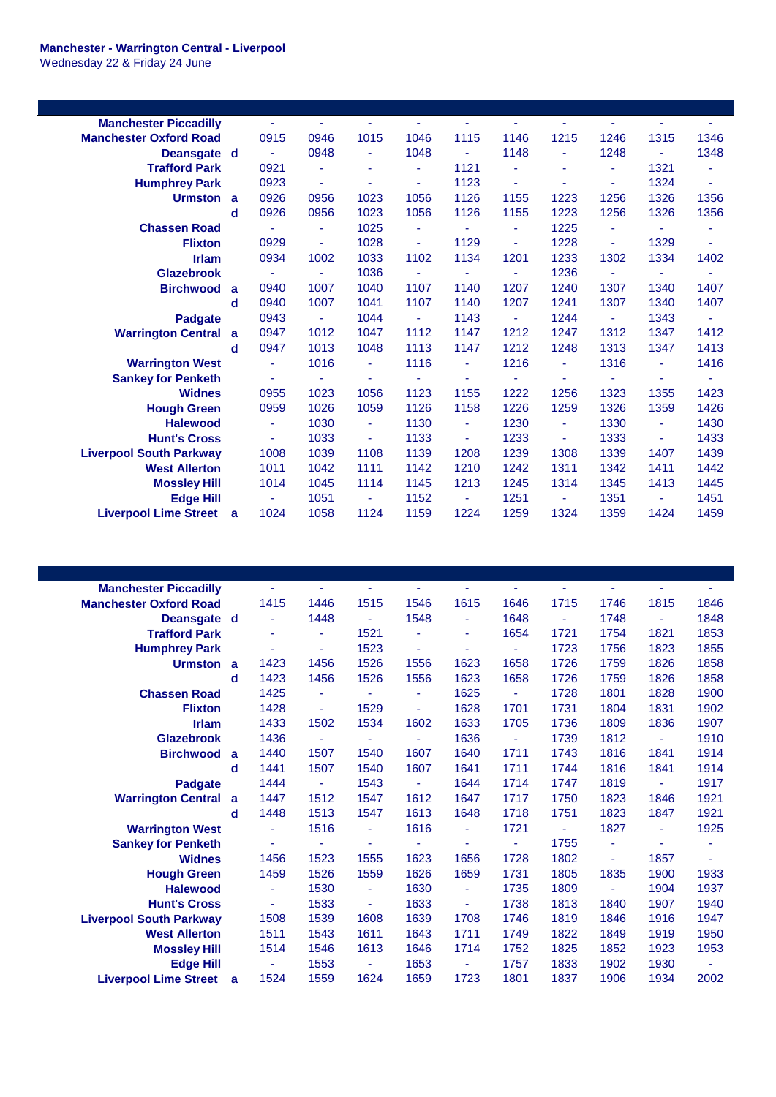| <b>Manchester Piccadilly</b>   |          | ä,   | ٠    | Ξ                        | ٠    | $\blacksquare$ | ٠    | ÷              | Ξ              | ٠    | ٠    |
|--------------------------------|----------|------|------|--------------------------|------|----------------|------|----------------|----------------|------|------|
| <b>Manchester Oxford Road</b>  |          | 0915 | 0946 | 1015                     | 1046 | 1115           | 1146 | 1215           | 1246           | 1315 | 1346 |
| Deansgate d                    |          | ÷    | 0948 |                          | 1048 | ÷,             | 1148 | ٠              | 1248           | ٠    | 1348 |
| <b>Trafford Park</b>           |          | 0921 | ٠    | ٠                        | ٠    | 1121           | ä,   | ÷              | Ξ              | 1321 | ÷,   |
| <b>Humphrey Park</b>           |          | 0923 | ÷    | ٠                        | ÷    | 1123           | ä,   | ۰              | ٠              | 1324 | ä,   |
| Urmston a                      |          | 0926 | 0956 | 1023                     | 1056 | 1126           | 1155 | 1223           | 1256           | 1326 | 1356 |
|                                | d        | 0926 | 0956 | 1023                     | 1056 | 1126           | 1155 | 1223           | 1256           | 1326 | 1356 |
| <b>Chassen Road</b>            |          | ä,   | ÷    | 1025                     | ٠    | ÷,             | ٠    | 1225           | ٠              | ٠    | ۰    |
| <b>Flixton</b>                 |          | 0929 | ۰    | 1028                     | ÷    | 1129           | ٠    | 1228           | ÷              | 1329 | ä,   |
| <b>Irlam</b>                   |          | 0934 | 1002 | 1033                     | 1102 | 1134           | 1201 | 1233           | 1302           | 1334 | 1402 |
| <b>Glazebrook</b>              |          | ä,   | ÷    | 1036                     | ÷    | ÷,             | ä,   | 1236           | Ξ              | ٠    | ۰    |
| <b>Birchwood</b>               | <b>a</b> | 0940 | 1007 | 1040                     | 1107 | 1140           | 1207 | 1240           | 1307           | 1340 | 1407 |
|                                | d        | 0940 | 1007 | 1041                     | 1107 | 1140           | 1207 | 1241           | 1307           | 1340 | 1407 |
| <b>Padgate</b>                 |          | 0943 | ۰    | 1044                     | ٠    | 1143           | ٠    | 1244           | $\blacksquare$ | 1343 | ٠    |
| <b>Warrington Central a</b>    |          | 0947 | 1012 | 1047                     | 1112 | 1147           | 1212 | 1247           | 1312           | 1347 | 1412 |
|                                | d        | 0947 | 1013 | 1048                     | 1113 | 1147           | 1212 | 1248           | 1313           | 1347 | 1413 |
| <b>Warrington West</b>         |          | ä,   | 1016 |                          | 1116 | ä,             | 1216 | ۰              | 1316           | ٠    | 1416 |
| <b>Sankey for Penketh</b>      |          | ä,   | ÷,   | ٠                        | ÷    | ٠              | Ξ    | ٠              | Ξ              | ٠    | ÷    |
| <b>Widnes</b>                  |          | 0955 | 1023 | 1056                     | 1123 | 1155           | 1222 | 1256           | 1323           | 1355 | 1423 |
| <b>Hough Green</b>             |          | 0959 | 1026 | 1059                     | 1126 | 1158           | 1226 | 1259           | 1326           | 1359 | 1426 |
| <b>Halewood</b>                |          | ä,   | 1030 | ä,                       | 1130 | ä,             | 1230 | Ξ              | 1330           | ٠    | 1430 |
| <b>Hunt's Cross</b>            |          | ÷,   | 1033 | $\overline{\phantom{a}}$ | 1133 | ٠              | 1233 | $\blacksquare$ | 1333           | ٠    | 1433 |
| <b>Liverpool South Parkway</b> |          | 1008 | 1039 | 1108                     | 1139 | 1208           | 1239 | 1308           | 1339           | 1407 | 1439 |
| <b>West Allerton</b>           |          | 1011 | 1042 | 1111                     | 1142 | 1210           | 1242 | 1311           | 1342           | 1411 | 1442 |
| <b>Mossley Hill</b>            |          | 1014 | 1045 | 1114                     | 1145 | 1213           | 1245 | 1314           | 1345           | 1413 | 1445 |
| <b>Edge Hill</b>               |          | ä,   | 1051 | ٠                        | 1152 | ÷              | 1251 | ٠              | 1351           | ٠    | 1451 |
| <b>Liverpool Lime Street</b>   | a        | 1024 | 1058 | 1124                     | 1159 | 1224           | 1259 | 1324           | 1359           | 1424 | 1459 |
|                                |          |      |      |                          |      |                |      |                |                |      |      |

| <b>Manchester Piccadilly</b>   |              |      | ٠    |                | ٠    | ٠              | ä,             | ٠    |      | ٠              |      |
|--------------------------------|--------------|------|------|----------------|------|----------------|----------------|------|------|----------------|------|
| <b>Manchester Oxford Road</b>  |              | 1415 | 1446 | 1515           | 1546 | 1615           | 1646           | 1715 | 1746 | 1815           | 1846 |
| Deansgate d                    |              | ۰    | 1448 | $\blacksquare$ | 1548 | ٠              | 1648           | ٠    | 1748 | ٠              | 1848 |
| <b>Trafford Park</b>           |              | ۰    | ÷    | 1521           |      | ٠              | 1654           | 1721 | 1754 | 1821           | 1853 |
| <b>Humphrey Park</b>           |              | ۰    | ä,   | 1523           | ٠    |                | ä              | 1723 | 1756 | 1823           | 1855 |
| Urmston a                      |              | 1423 | 1456 | 1526           | 1556 | 1623           | 1658           | 1726 | 1759 | 1826           | 1858 |
|                                | d            | 1423 | 1456 | 1526           | 1556 | 1623           | 1658           | 1726 | 1759 | 1826           | 1858 |
| <b>Chassen Road</b>            |              | 1425 | ٠    | ٠              | ÷    | 1625           | ä,             | 1728 | 1801 | 1828           | 1900 |
| <b>Flixton</b>                 |              | 1428 | Ξ    | 1529           | ٠    | 1628           | 1701           | 1731 | 1804 | 1831           | 1902 |
| <b>Irlam</b>                   |              | 1433 | 1502 | 1534           | 1602 | 1633           | 1705           | 1736 | 1809 | 1836           | 1907 |
| <b>Glazebrook</b>              |              | 1436 | ä,   | ٠              |      | 1636           | $\blacksquare$ | 1739 | 1812 | $\blacksquare$ | 1910 |
| <b>Birchwood</b>               | a            | 1440 | 1507 | 1540           | 1607 | 1640           | 1711           | 1743 | 1816 | 1841           | 1914 |
|                                | d            | 1441 | 1507 | 1540           | 1607 | 1641           | 1711           | 1744 | 1816 | 1841           | 1914 |
| <b>Padgate</b>                 |              | 1444 | ٠    | 1543           |      | 1644           | 1714           | 1747 | 1819 | ٠              | 1917 |
| <b>Warrington Central</b>      | $\mathbf{a}$ | 1447 | 1512 | 1547           | 1612 | 1647           | 1717           | 1750 | 1823 | 1846           | 1921 |
|                                | d            | 1448 | 1513 | 1547           | 1613 | 1648           | 1718           | 1751 | 1823 | 1847           | 1921 |
| <b>Warrington West</b>         |              | ÷    | 1516 | $\blacksquare$ | 1616 | ٠              | 1721           | ٠    | 1827 | ٠              | 1925 |
| <b>Sankey for Penketh</b>      |              |      | ä,   |                |      |                | ä,             | 1755 | ÷    |                |      |
| <b>Widnes</b>                  |              | 1456 | 1523 | 1555           | 1623 | 1656           | 1728           | 1802 | ٠    | 1857           | ٠    |
| <b>Hough Green</b>             |              | 1459 | 1526 | 1559           | 1626 | 1659           | 1731           | 1805 | 1835 | 1900           | 1933 |
| <b>Halewood</b>                |              | ٠    | 1530 | $\blacksquare$ | 1630 | $\blacksquare$ | 1735           | 1809 | ٠    | 1904           | 1937 |
| <b>Hunt's Cross</b>            |              | ۰    | 1533 | ٠              | 1633 | ٠              | 1738           | 1813 | 1840 | 1907           | 1940 |
| <b>Liverpool South Parkway</b> |              | 1508 | 1539 | 1608           | 1639 | 1708           | 1746           | 1819 | 1846 | 1916           | 1947 |
| <b>West Allerton</b>           |              | 1511 | 1543 | 1611           | 1643 | 1711           | 1749           | 1822 | 1849 | 1919           | 1950 |
| <b>Mossley Hill</b>            |              | 1514 | 1546 | 1613           | 1646 | 1714           | 1752           | 1825 | 1852 | 1923           | 1953 |
| <b>Edge Hill</b>               |              |      | 1553 |                | 1653 | ٠              | 1757           | 1833 | 1902 | 1930           |      |
| <b>Liverpool Lime Street</b>   | a            | 1524 | 1559 | 1624           | 1659 | 1723           | 1801           | 1837 | 1906 | 1934           | 2002 |